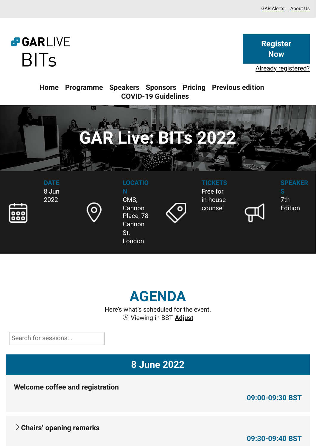# **PGARLIVE BITs**

**Register Now**

Already registered?

**Home Programme Speakers Sponsors Pricing Previous edition COVID-19 Guidelines**





Here's what's scheduled for the event. Viewing in BST **Adjust**

Search for sessions...

**8 June 2022**

**Welcome coffee and registration**

**09:00-09:30 BST**

**Chairs' opening remarks**

**09:30-09:40 BST**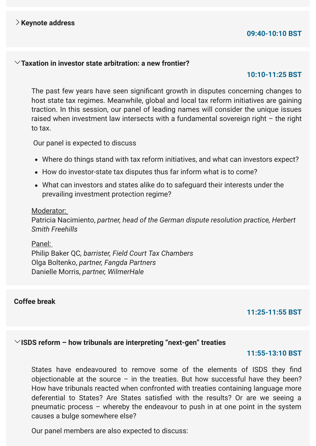# **09:40-10:10 BST**

#### **Taxation in investor state arbitration: a new frontier?**

#### **10:10-11:25 BST**

The past few years have seen significant growth in disputes concerning changes to host state tax regimes. Meanwhile, global and local tax reform initiatives are gaining traction. In this session, our panel of leading names will consider the unique issues raised when investment law intersects with a fundamental sovereign right – the right to tax.

Our panel is expected to discuss

- Where do things stand with tax reform initiatives, and what can investors expect?
- How do investor-state tax disputes thus far inform what is to come?
- What can investors and states alike do to safeguard their interests under the prevailing investment protection regime?

#### Moderator:

Patricia Nacimiento, *partner, head of the German dispute resolution practice, Herbert Smith Freehills*

Panel: Philip Baker QC*, barrister, Field Court Tax Chambers*  Olga Boltenko, *partner, Fangda Partners* Danielle Morris, *partner, WilmerHale*

## **Coffee break**

#### **11:25-11:55 BST**

#### **ISDS reform – how tribunals are interpreting "next-gen" treaties**

#### **11:55-13:10 BST**

States have endeavoured to remove some of the elements of ISDS they find objectionable at the source  $-$  in the treaties. But how successful have they been? How have tribunals reacted when confronted with treaties containing language more deferential to States? Are States satisfied with the results? Or are we seeing a pneumatic process – whereby the endeavour to push in at one point in the system causes a bulge somewhere else?

Our panel members are also expected to discuss: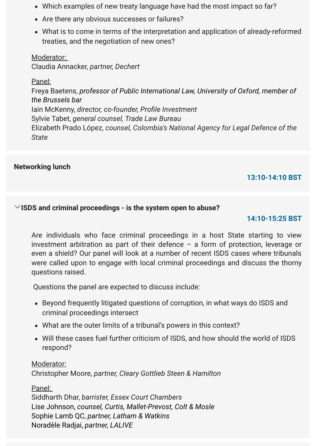- Which examples of new treaty language have had the most impact so far?
- Are there any obvious successes or failures?
- What is to come in terms of the interpretation and application of already-reformed treaties, and the negotiation of new ones?

## Moderator:

Claudia Annacker, *partner, Dechert*

# Panel:

Freya Baetens, *professor of Public International Law, University of Oxford, member of the Brussels bar* Iain McKenny, *director, co-founder, Profile Investment* Sylvie Tabet, *general counsel, Trade Law Bureau*  Elizabeth Prado López, *counsel, Colombia's National Agency for Legal Defence of the State*

# **Networking lunch**

# **13:10-14:10 BST**

## **ISDS and criminal proceedings - is the system open to abuse?**

### **14:10-15:25 BST**

Are individuals who face criminal proceedings in a host State starting to view investment arbitration as part of their defence – a form of protection, leverage or even a shield? Our panel will look at a number of recent ISDS cases where tribunals were called upon to engage with local criminal proceedings and discuss the thorny questions raised.

Questions the panel are expected to discuss include:

- Beyond frequently litigated questions of corruption, in what ways do ISDS and criminal proceedings intersect
- What are the outer limits of a tribunal's powers in this context?
- Will these cases fuel further criticism of ISDS, and how should the world of ISDS respond?

Moderator: Christopher Moore, *partner, Cleary Gottlieb Steen & Hamilton*

Panel:

Siddharth Dhar, *barrister, Essex Court Chambers* Lise Johnson, *counsel, Curtis, Mallet-Prevost, Colt & Mosle*  Sophie Lamb QC, *partner, Latham & Watkins*  Noradèle Radjai, *partner, LALIVE*